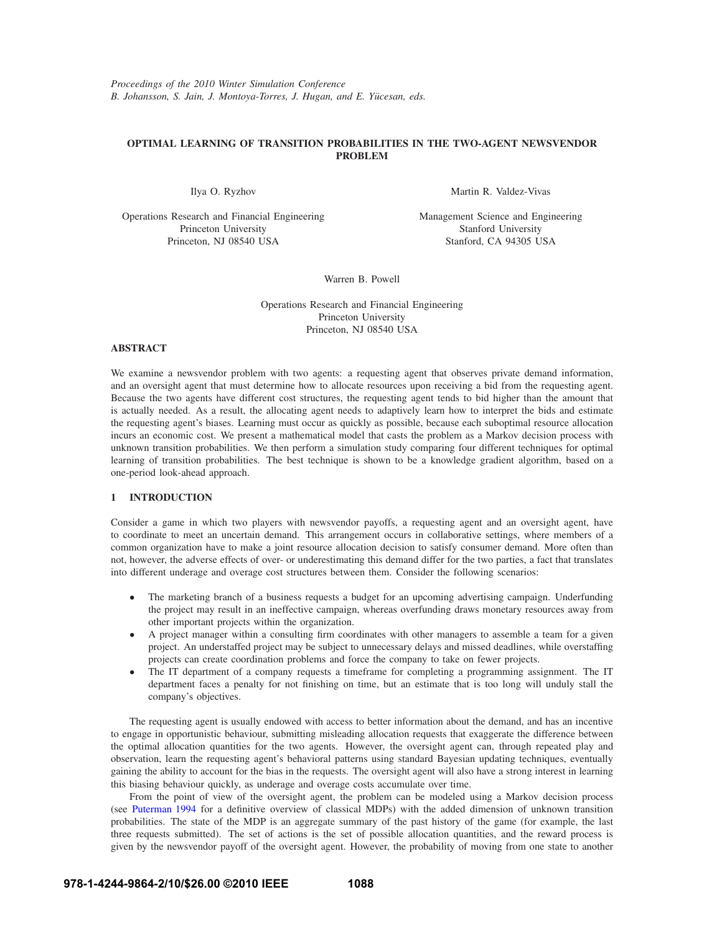# **OPTIMAL LEARNING OF TRANSITION PROBABILITIES IN THE TWO-AGENT NEWSVENDOR PROBLEM**

Ilya O. Ryzhov

Martin R. Valdez-Vivas

Operations Research and Financial Engineering Princeton University Princeton, NJ 08540 USA

Management Science and Engineering Stanford University Stanford, CA 94305 USA

Warren B. Powell

Operations Research and Financial Engineering Princeton University Princeton, NJ 08540 USA

## **ABSTRACT**

We examine a newsvendor problem with two agents: a requesting agent that observes private demand information, and an oversight agent that must determine how to allocate resources upon receiving a bid from the requesting agent. Because the two agents have different cost structures, the requesting agent tends to bid higher than the amount that is actually needed. As a result, the allocating agent needs to adaptively learn how to interpret the bids and estimate the requesting agent's biases. Learning must occur as quickly as possible, because each suboptimal resource allocation incurs an economic cost. We present a mathematical model that casts the problem as a Markov decision process with unknown transition probabilities. We then perform a simulation study comparing four different techniques for optimal learning of transition probabilities. The best technique is shown to be a knowledge gradient algorithm, based on a one-period look-ahead approach.

## **1 INTRODUCTION**

Consider a game in which two players with newsvendor payoffs, a requesting agent and an oversight agent, have to coordinate to meet an uncertain demand. This arrangement occurs in collaborative settings, where members of a common organization have to make a joint resource allocation decision to satisfy consumer demand. More often than not, however, the adverse effects of over- or underestimating this demand differ for the two parties, a fact that translates into different underage and overage cost structures between them. Consider the following scenarios:

- The marketing branch of a business requests a budget for an upcoming advertising campaign. Underfunding the project may result in an ineffective campaign, whereas overfunding draws monetary resources away from other important projects within the organization.
- A project manager within a consulting firm coordinates with other managers to assemble a team for a given project. An understaffed project may be subject to unnecessary delays and missed deadlines, while overstaffing projects can create coordination problems and force the company to take on fewer projects.
- The IT department of a company requests a timeframe for completing a programming assignment. The IT department faces a penalty for not finishing on time, but an estimate that is too long will unduly stall the company's objectives.

The requesting agent is usually endowed with access to better information about the demand, and has an incentive to engage in opportunistic behaviour, submitting misleading allocation requests that exaggerate the difference between the optimal allocation quantities for the two agents. However, the oversight agent can, through repeated play and observation, learn the requesting agent's behavioral patterns using standard Bayesian updating techniques, eventually gaining the ability to account for the bias in the requests. The oversight agent will also have a strong interest in learning this biasing behaviour quickly, as underage and overage costs accumulate over time.

From the point of view of the oversight agent, the problem can be modeled using a Markov decision process (see Puterman 1994 for a definitive overview of classical MDPs) with the added dimension of unknown transition probabilities. The state of the MDP is an aggregate summary of the past history of the game (for example, the last three requests submitted). The set of actions is the set of possible allocation quantities, and the reward process is given by the newsvendor payoff of the oversight agent. However, the probability of moving from one state to another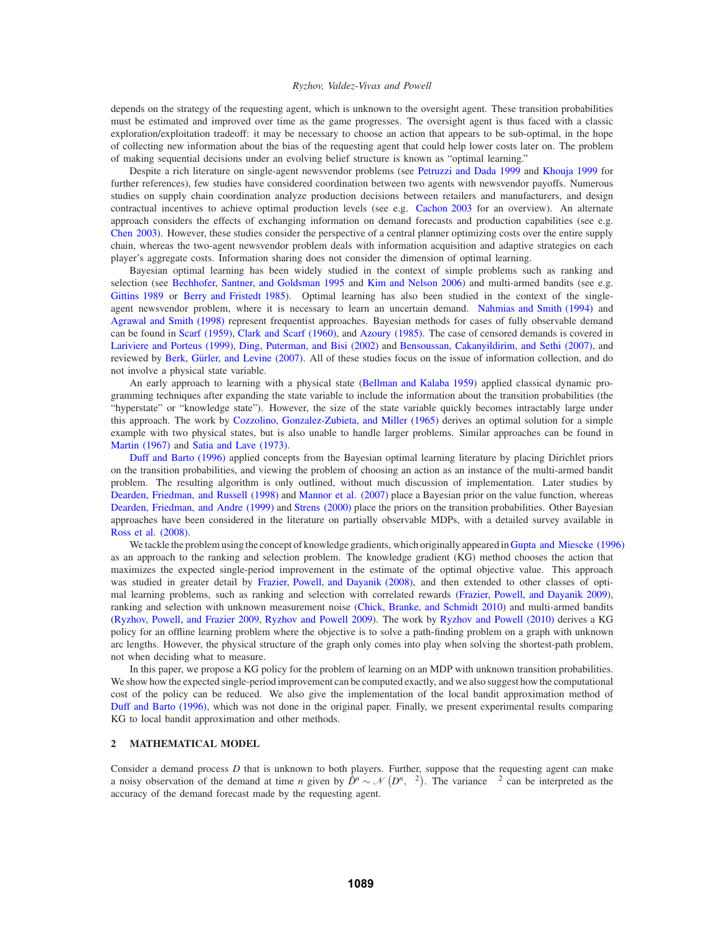depends on the strategy of the requesting agent, which is unknown to the oversight agent. These transition probabilities must be estimated and improved over time as the game progresses. The oversight agent is thus faced with a classic exploration/exploitation tradeoff: it may be necessary to choose an action that appears to be sub-optimal, in the hope of collecting new information about the bias of the requesting agent that could help lower costs later on. The problem of making sequential decisions under an evolving belief structure is known as "optimal learning."

Despite a rich literature on single-agent newsvendor problems (see Petruzzi and Dada 1999 and Khouja 1999 for further references), few studies have considered coordination between two agents with newsvendor payoffs. Numerous studies on supply chain coordination analyze production decisions between retailers and manufacturers, and design contractual incentives to achieve optimal production levels (see e.g. Cachon 2003 for an overview). An alternate approach considers the effects of exchanging information on demand forecasts and production capabilities (see e.g. Chen 2003). However, these studies consider the perspective of a central planner optimizing costs over the entire supply chain, whereas the two-agent newsvendor problem deals with information acquisition and adaptive strategies on each player's aggregate costs. Information sharing does not consider the dimension of optimal learning.

Bayesian optimal learning has been widely studied in the context of simple problems such as ranking and selection (see Bechhofer, Santner, and Goldsman 1995 and Kim and Nelson 2006) and multi-armed bandits (see e.g. Gittins 1989 or Berry and Fristedt 1985). Optimal learning has also been studied in the context of the singleagent newsvendor problem, where it is necessary to learn an uncertain demand. Nahmias and Smith (1994) and Agrawal and Smith (1998) represent frequentist approaches. Bayesian methods for cases of fully observable demand can be found in Scarf (1959), Clark and Scarf (1960), and Azoury (1985). The case of censored demands is covered in Lariviere and Porteus (1999), Ding, Puterman, and Bisi (2002) and Bensoussan, Cakanyildirim, and Sethi (2007), and reviewed by Berk, Gürler, and Levine (2007). All of these studies focus on the issue of information collection, and do not involve a physical state variable.

An early approach to learning with a physical state (Bellman and Kalaba 1959) applied classical dynamic programming techniques after expanding the state variable to include the information about the transition probabilities (the "hyperstate" or "knowledge state"). However, the size of the state variable quickly becomes intractably large under this approach. The work by Cozzolino, Gonzalez-Zubieta, and Miller (1965) derives an optimal solution for a simple example with two physical states, but is also unable to handle larger problems. Similar approaches can be found in Martin (1967) and Satia and Lave (1973).

Duff and Barto (1996) applied concepts from the Bayesian optimal learning literature by placing Dirichlet priors on the transition probabilities, and viewing the problem of choosing an action as an instance of the multi-armed bandit problem. The resulting algorithm is only outlined, without much discussion of implementation. Later studies by Dearden, Friedman, and Russell (1998) and Mannor et al. (2007) place a Bayesian prior on the value function, whereas Dearden, Friedman, and Andre (1999) and Strens (2000) place the priors on the transition probabilities. Other Bayesian approaches have been considered in the literature on partially observable MDPs, with a detailed survey available in Ross et al. (2008).

We tackle the problem using the concept of knowledge gradients, which originally appeared in Gupta and Miescke (1996) as an approach to the ranking and selection problem. The knowledge gradient (KG) method chooses the action that maximizes the expected single-period improvement in the estimate of the optimal objective value. This approach was studied in greater detail by Frazier, Powell, and Dayanik (2008), and then extended to other classes of optimal learning problems, such as ranking and selection with correlated rewards (Frazier, Powell, and Dayanik 2009), ranking and selection with unknown measurement noise (Chick, Branke, and Schmidt 2010) and multi-armed bandits (Ryzhov, Powell, and Frazier 2009, Ryzhov and Powell 2009). The work by Ryzhov and Powell (2010) derives a KG policy for an offline learning problem where the objective is to solve a path-finding problem on a graph with unknown arc lengths. However, the physical structure of the graph only comes into play when solving the shortest-path problem, not when deciding what to measure.

In this paper, we propose a KG policy for the problem of learning on an MDP with unknown transition probabilities. We show how the expected single-period improvement can be computed exactly, and we also suggest how the computational cost of the policy can be reduced. We also give the implementation of the local bandit approximation method of Duff and Barto (1996), which was not done in the original paper. Finally, we present experimental results comparing KG to local bandit approximation and other methods.

## **2 MATHEMATICAL MODEL**

Consider a demand process *D* that is unknown to both players. Further, suppose that the requesting agent can make a noisy observation of the demand at time *n* given by  $\hat{D}^n \sim \mathcal{N}(D^n, \sigma^2)$ . The variance  $\sigma^2$  can be interpreted as the accuracy of the demand forecast made by the requesting agent.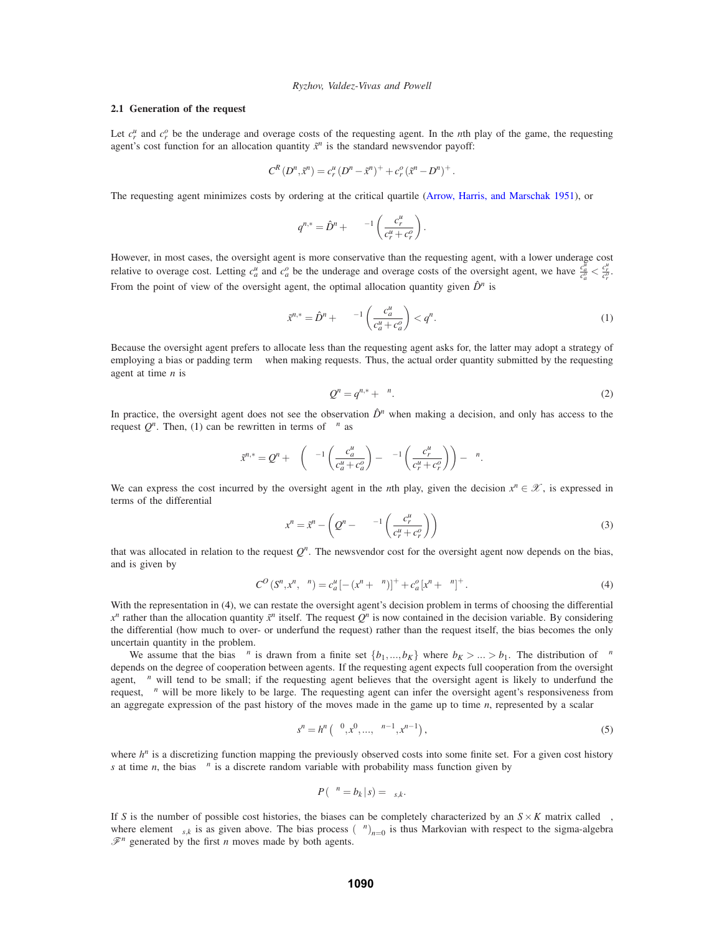## **2.1 Generation of the request**

Let  $c_r^u$  and  $c_r^o$  be the underage and overage costs of the requesting agent. In the *n*th play of the game, the requesting agent's cost function for an allocation quantity  $\tilde{x}^n$  is the standard newsvendor payoff:

$$
C^{R}(D^{n}, \tilde{x}^{n}) = c_{r}^{u}(D^{n} - \tilde{x}^{n})^{+} + c_{r}^{o}(\tilde{x}^{n} - D^{n})^{+}.
$$

The requesting agent minimizes costs by ordering at the critical quartile (Arrow, Harris, and Marschak 1951), or

$$
q^{n,*} = \hat{D}^n + \sigma \Phi^{-1} \left( \frac{c_r^u}{c_r^u + c_r^o} \right).
$$

However, in most cases, the oversight agent is more conservative than the requesting agent, with a lower underage cost relative to overage cost. Letting  $c_a^u$  and  $c_a^o$  be the underage and overage costs of the oversight agent, we have  $\frac{c_a^u}{c_a^o} < \frac{c_t^u}{c_f^o}$ . From the point of view of the oversight agent, the optimal allocation quantity given  $\hat{D}^n$  is

$$
\tilde{x}^{n,*} = \hat{D}^n + \sigma \Phi^{-1} \left( \frac{c_a^u}{c_a^u + c_a^o} \right) < q^n. \tag{1}
$$

Because the oversight agent prefers to allocate less than the requesting agent asks for, the latter may adopt a strategy of employing a bias or padding term  $\beta$  when making requests. Thus, the actual order quantity submitted by the requesting agent at time *n* is

$$
Q^n = q^{n,*} + \beta^n. \tag{2}
$$

In practice, the oversight agent does not see the observation  $\hat{D}^n$  when making a decision, and only has access to the request  $Q^n$ . Then, (1) can be rewritten in terms of  $\beta^n$  as

$$
\tilde{x}^{n,*} = Q^n + \sigma \left( \Phi^{-1} \left( \frac{c_a^u}{c_a^u + c_a^o} \right) - \Phi^{-1} \left( \frac{c_r^u}{c_r^u + c_r^o} \right) \right) - \beta^n.
$$

We can express the cost incurred by the oversight agent in the *n*th play, given the decision  $x^n \in \mathcal{X}$ , is expressed in terms of the differential

$$
x^{n} = \tilde{x}^{n} - \left(Q^{n} - \sigma \Phi^{-1} \left(\frac{c_{r}^{u}}{c_{r}^{u} + c_{r}^{o}}\right)\right)
$$
\n(3)

that was allocated in relation to the request  $Q<sup>n</sup>$ . The newsvendor cost for the oversight agent now depends on the bias, and is given by

$$
C^{O}(S^{n}, x^{n}, \beta^{n}) = c_{a}^{u} [-(x^{n} + \beta^{n})]^{+} + c_{a}^{o} [x^{n} + \beta^{n}]^{+}.
$$
\n(4)

With the representation in (4), we can restate the oversight agent's decision problem in terms of choosing the differential  $x^n$  rather than the allocation quantity  $\tilde{x}^n$  itself. The request  $Q^n$  is now contained in the decision variable. By considering the differential (how much to over- or underfund the request) rather than the request itself, the bias becomes the only uncertain quantity in the problem.

We assume that the bias  $\beta^n$  is drawn from a finite set  $\{b_1,...,b_K\}$  where  $b_K > ... > b_1$ . The distribution of  $\beta^n$ depends on the degree of cooperation between agents. If the requesting agent expects full cooperation from the oversight agent,  $\beta^n$  will tend to be small; if the requesting agent believes that the oversight agent is likely to underfund the request,  $β<sup>n</sup>$  will be more likely to be large. The requesting agent can infer the oversight agent's responsiveness from an aggregate expression of the past history of the moves made in the game up to time *n*, represented by a scalar

$$
s^{n} = h^{n} (\beta^{0}, x^{0}, ..., \beta^{n-1}, x^{n-1}),
$$
\n(5)

where  $h^n$  is a discretizing function mapping the previously observed costs into some finite set. For a given cost history *s* at time *n*, the bias  $\beta^n$  is a discrete random variable with probability mass function given by

$$
P(\beta^n = b_k | s) = \rho_{s,k}.
$$

If *S* is the number of possible cost histories, the biases can be completely characterized by an  $S \times K$  matrix called  $\rho$ , where element  $\rho_{s,k}$  is as given above. The bias process  $(\beta^n)_{n=0}^{\infty}$  is thus Markovian with respect to the sigma-algebra  $\mathcal{F}^n$  generated by the first *n* moves made by both agents.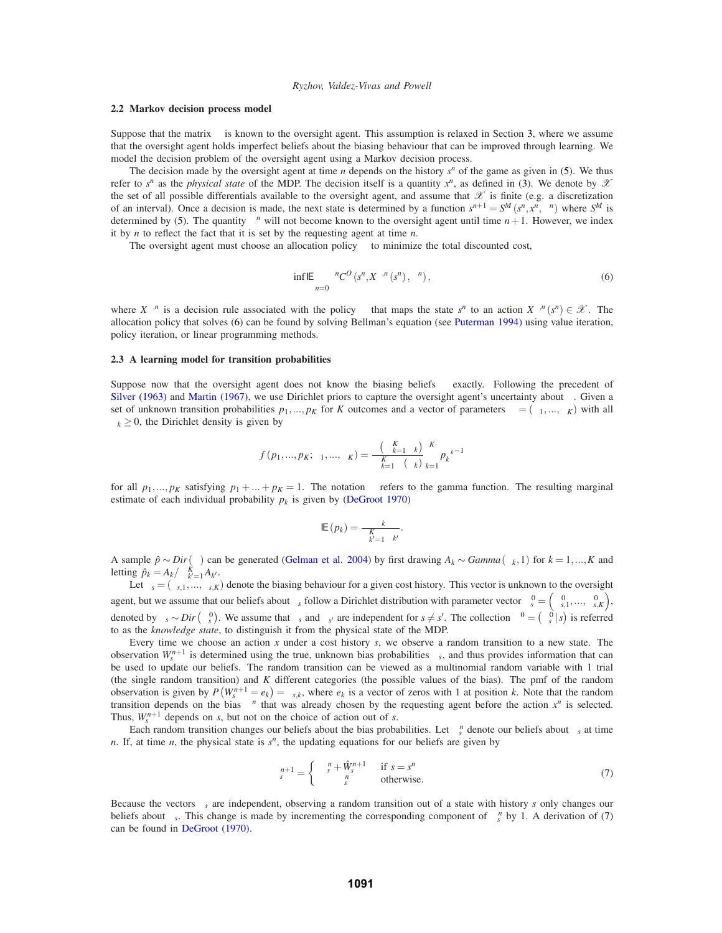### **2.2 Markov decision process model**

Suppose that the matrix  $\rho$  is known to the oversight agent. This assumption is relaxed in Section 3, where we assume that the oversight agent holds imperfect beliefs about the biasing behaviour that can be improved through learning. We model the decision problem of the oversight agent using a Markov decision process.

The decision made by the oversight agent at time *n* depends on the history  $s^n$  of the game as given in (5). We thus refer to  $s^n$  as the *physical state* of the MDP. The decision itself is a quantity  $x^n$ , as defined in (3). We denote by  $\mathcal X$ the set of all possible differentials available to the oversight agent, and assume that  $\mathscr X$  is finite (e.g. a discretization of an interval). Once a decision is made, the next state is determined by a function  $s^{n+1} = S^M(s^n, x^n, \beta^n)$  where  $S^M$  is determined by (5). The quantity  $\beta^n$  will not become known to the oversight agent until time  $n+1$ . However, we index it by *n* to reflect the fact that it is set by the requesting agent at time *n*.

The oversight agent must choose an allocation policy  $\pi$  to minimize the total discounted cost,

$$
\inf_{\pi} \mathbb{E} \sum_{n=0}^{\infty} \gamma^n C^O\left(s^n, X^{\pi, n}(s^n), \beta^n\right),\tag{6}
$$

where  $X^{\pi,n}$  is a decision rule associated with the policy  $\pi$  that maps the state  $s^n$  to an action  $X^{\pi,n}(s^n) \in \mathcal{X}$ . The allocation policy that solves (6) can be found by solving Bellman's equation (see Puterman 1994) using value iteration, policy iteration, or linear programming methods.

#### **2.3 A learning model for transition probabilities**

Suppose now that the oversight agent does not know the biasing beliefs  $\rho$  exactly. Following the precedent of Silver (1963) and Martin (1967), we use Dirichlet priors to capture the oversight agent's uncertainty about  $\rho$ . Given a set of unknown transition probabilities  $p_1,..., p_K$  for K outcomes and a vector of parameters  $\alpha = (\alpha_1,...,\alpha_K)$  with all  $\alpha_k \geq 0$ , the Dirichlet density is given by

$$
f(p_1, ..., p_K; \alpha_1, ..., \alpha_K) = \frac{\Gamma(\prod_{k=1}^K \alpha_k)}{\prod_{k=1}^K \Gamma(\alpha_k)} \prod_{k=1}^K p_k^{\alpha_k - 1}
$$

for all  $p_1,..., p_K$  satisfying  $p_1 + ... + p_K = 1$ . The notation Γ refers to the gamma function. The resulting marginal estimate of each individual probability  $p_k$  is given by (DeGroot 1970)

$$
\mathsf{IE}\left(p_k\right) = \frac{\alpha_k}{\sum_{k'=1}^K \alpha_{k'}}.
$$

A sample ˆ*p* ∼ *Dir*(α) can be generated (Gelman et al. 2004) by first drawing *Ak* ∼ *Gamma*(<sup>α</sup>*k*,1) for *k* = 1,...,*K* and letting  $\hat{p}_k = A_k / \sum_{k'=1}^K A_{k'}$ .

Let  $\rho_s = (\rho_{s,1}, \ldots, \rho_{s,K})$  denote the biasing behaviour for a given cost history. This vector is unknown to the oversight agent, but we assume that our beliefs about  $\rho_s$  follow a Dirichlet distribution with parameter vector  $\alpha_s^0 = \left(\alpha_{s,1}^0, ..., \alpha_{s,K}^0\right)$ , denoted by  $\rho_s \sim Dir(\alpha_s^0)$ . We assume that  $\rho_s$  and  $\rho_{s'}$  are independent for  $s \neq s'$ . The collection  $\alpha^0 = (\alpha_s^0 \, | \, s)$  is referred to as the *knowledge state*, to distinguish it from the physical state of the MDP.

Every time we choose an action *x* under a cost history *s*, we observe a random transition to a new state. The observation  $W^{n+1}$  is determined using the true, unknown bias probabilities  $\rho_s$ , and thus provides information that can be used to update our beliefs. The random transition can be viewed as a multinomial random variable with 1 trial (the single random transition) and *K* different categories (the possible values of the bias). The pmf of the random observation is given by  $P(W_s^{n+1} = e_k) = \rho_{s,k}$ , where  $e_k$  is a vector of zeros with 1 at position *k*. Note that the random transition depends on the bias  $\beta^n$  that was already chosen by the requesting agent before the action  $x^n$  is selected. Thus,  $W_s^{n+1}$  depends on *s*, but not on the choice of action out of *s*.

Each random transition changes our beliefs about the bias probabilities. Let  $\alpha_s^n$  denote our beliefs about  $\rho_s$  at time *n*. If, at time *n*, the physical state is  $s^n$ , the updating equations for our beliefs are given by

$$
\alpha_s^{n+1} = \begin{cases} \alpha_s^n + \hat{W}_s^{n+1} & \text{if } s = s^n \\ \alpha_s^n & \text{otherwise.} \end{cases}
$$
 (7)

Because the vectors  $\rho_s$  are independent, observing a random transition out of a state with history *s* only changes our beliefs about  $\rho_s$ . This change is made by incrementing the corresponding component of  $\alpha_s^n$  by 1. A derivation of (7) can be found in DeGroot (1970).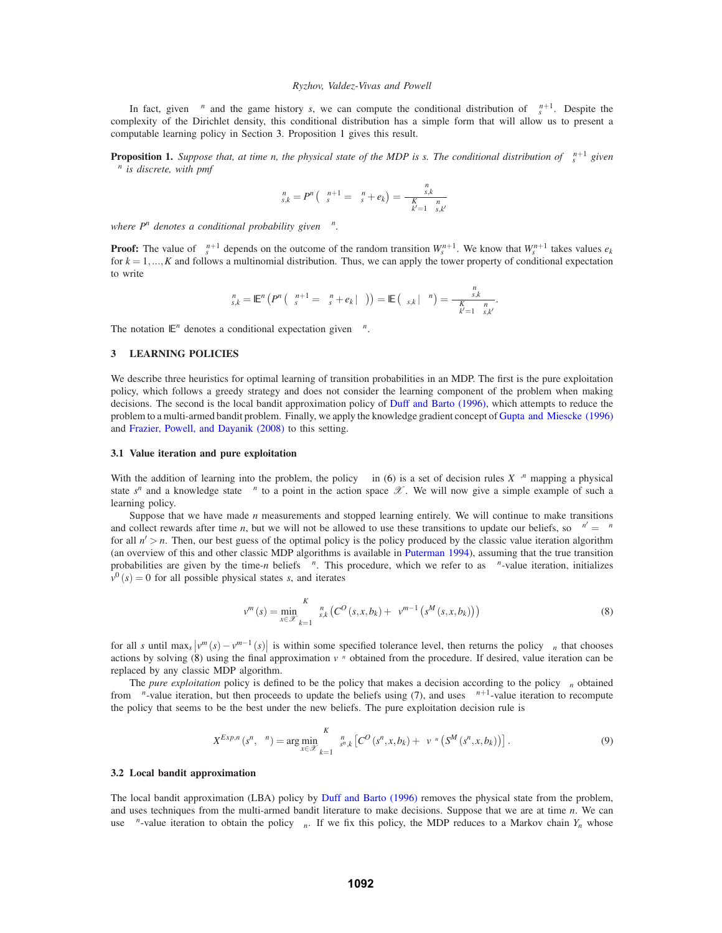In fact, given  $\alpha^n$  and the game history *s*, we can compute the conditional distribution of  $\alpha_n^{n+1}$ . Despite the complexity of the Dirichlet density, this conditional distribution has a simple form that will allow us to present a computable learning policy in Section 3. Proposition 1 gives this result.

**Proposition 1.** *Suppose that, at time n, the physical state of the MDP is s. The conditional distribution of*  $\alpha_n^{n+1}$  *given* <sup>α</sup>*<sup>n</sup> is discrete, with pmf*

$$
\rho_{s,k}^n=P^n\left(\alpha_s^{n+1}=\alpha_s^n+e_k\right)=\frac{\alpha_{s,k}^n}{\sum_{k'=1}^K\alpha_{s,k'}^n}
$$

*where*  $P^n$  *denotes a conditional probability given*  $\alpha^n$ .

**Proof:** The value of  $\alpha_s^{n+1}$  depends on the outcome of the random transition  $W_s^{n+1}$ . We know that  $W_s^{n+1}$  takes values  $e_k$ for  $k = 1, \ldots, K$  and follows a multinomial distribution. Thus, we can apply the tower property of conditional expectation to write

$$
\rho_{s,k}^{n} = \mathbb{E}^{n} \left( P^{n} \left( \alpha_{s}^{n+1} = \alpha_{s}^{n} + e_{k} \, | \, \rho \right) \right) = \mathbb{E} \left( \rho_{s,k} \, | \, \alpha^{n} \right) = \frac{\alpha_{s,k}^{n}}{\sum_{k'=1}^{K} \alpha_{s,k'}^{n}}.
$$

The notation  $\mathbb{E}^n$  denotes a conditional expectation given  $\alpha^n$ .

### **3 LEARNING POLICIES**

We describe three heuristics for optimal learning of transition probabilities in an MDP. The first is the pure exploitation policy, which follows a greedy strategy and does not consider the learning component of the problem when making decisions. The second is the local bandit approximation policy of Duff and Barto (1996), which attempts to reduce the problem to a multi-armed bandit problem. Finally, we apply the knowledge gradient concept of Gupta and Miescke (1996) and Frazier, Powell, and Dayanik (2008) to this setting.

### **3.1 Value iteration and pure exploitation**

With the addition of learning into the problem, the policy  $\pi$  in (6) is a set of decision rules  $X^{\pi,n}$  mapping a physical state  $s^n$  and a knowledge state  $\alpha^n$  to a point in the action space  $\mathscr X$ . We will now give a simple example of such a learning policy.

Suppose that we have made *n* measurements and stopped learning entirely. We will continue to make transitions and collect rewards after time *n*, but we will not be allowed to use these transitions to update our beliefs, so  $\alpha^{n'} = \alpha^n$ for all  $n' > n$ . Then, our best guess of the optimal policy is the policy produced by the classic value iteration algorithm (an overview of this and other classic MDP algorithms is available in Puterman 1994), assuming that the true transition probabilities are given by the time-*n* beliefs  $\alpha^n$ . This procedure, which we refer to as  $\alpha^n$ -value iteration, initializes  $v^0$  (*s*) = 0 for all possible physical states *s*, and iterates

$$
v^{m}(s) = \min_{x \in \mathcal{X}} \sum_{k=1}^{K} \rho_{s,k}^{n} (C^{O}(s, x, b_{k}) + \gamma v^{m-1} (s^{M}(s, x, b_{k})))
$$
\n(8)

for all *s* until  $\max_{s} |v^{m}(s) - v^{m-1}(s)|$  is within some specified tolerance level, then returns the policy  $\pi_{n}$  that chooses actions by solving (8) using the final approximation  $v^{\pi n}$  obtained from the procedure. If desired, value iteration can be replaced by any classic MDP algorithm.

The *pure exploitation* policy is defined to be the policy that makes a decision according to the policy  $\pi_n$  obtained from  $\alpha^n$ -value iteration, but then proceeds to update the beliefs using (7), and uses  $\alpha^{n+1}$ -value iteration to recompute the policy that seems to be the best under the new beliefs. The pure exploitation decision rule is

$$
X^{Exp,n}(s^n, \alpha^n) = \arg\min_{x \in \mathcal{X}} \sum_{k=1}^K \rho_{s^n,k}^n \left[ C^O(s^n, x, b_k) + \gamma v^{\pi_n} \left( S^M(s^n, x, b_k) \right) \right]. \tag{9}
$$

#### **3.2 Local bandit approximation**

The local bandit approximation (LBA) policy by Duff and Barto (1996) removes the physical state from the problem, and uses techniques from the multi-armed bandit literature to make decisions. Suppose that we are at time *n*. We can use  $\alpha^n$ -value iteration to obtain the policy  $\pi_n$ . If we fix this policy, the MDP reduces to a Markov chain  $Y_n$  whose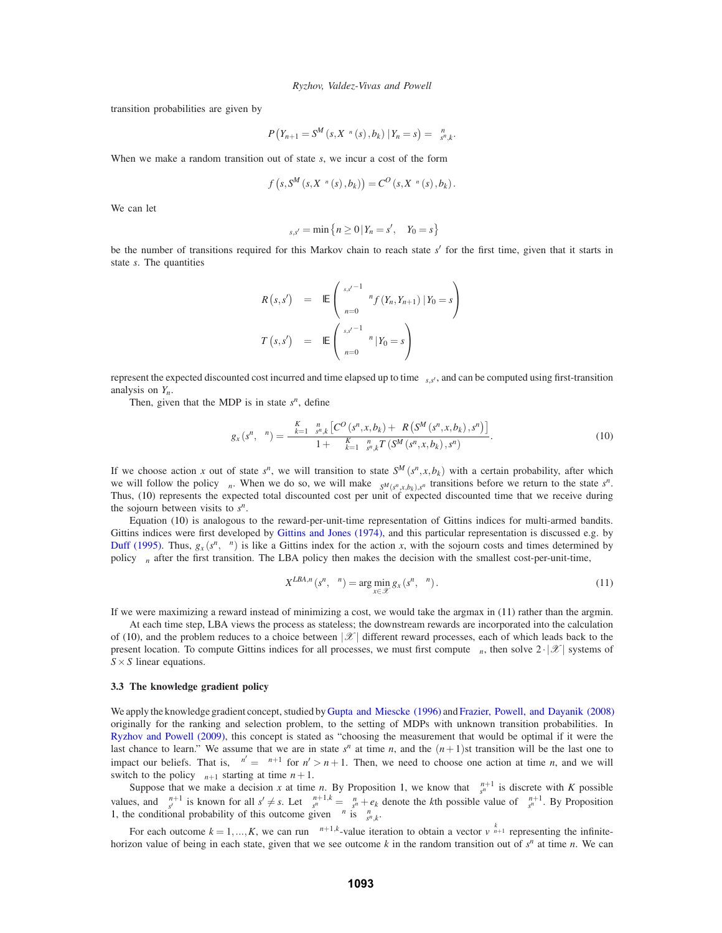transition probabilities are given by

$$
P(Y_{n+1} = S^M(s, X^{\pi_n}(s), b_k) | Y_n = s) = \rho_{s^n,k}^n.
$$

When we make a random transition out of state *s*, we incur a cost of the form

$$
f(s, S^{M}(s, X^{\pi_{n}}(s), b_{k})) = C^{O}(s, X^{\pi_{n}}(s), b_{k}).
$$

We can let

$$
\tau_{s,s'} = \min\{n \ge 0 | Y_n = s', \quad Y_0 = s\}
$$

be the number of transitions required for this Markov chain to reach state *s*′ for the first time, given that it starts in state *s*. The quantities

$$
R(s,s') = \mathbb{E}\left(\sum_{n=0}^{\tau_{s,s'}-1} \gamma^n f(Y_n, Y_{n+1}) | Y_0 = s\right)
$$

$$
T(s,s') = \mathbb{E}\left(\sum_{n=0}^{\tau_{s,s'}-1} \gamma^n | Y_0 = s\right)
$$

represent the expected discounted cost incurred and time elapsed up to time <sup>τ</sup>*s*,*s*′ , and can be computed using first-transition analysis on *Yn*.

Then, given that the MDP is in state  $s^n$ , define

$$
g_{x}(s^{n}, \alpha^{n}) = \frac{\sum_{k=1}^{K} \rho_{s^{n},k}^{n} \left[ C^{O}(s^{n}, x, b_{k}) + \gamma R \left( S^{M}(s^{n}, x, b_{k}), s^{n} \right) \right]}{1 + \gamma \sum_{k=1}^{K} \rho_{s^{n},k}^{n} T \left( S^{M}(s^{n}, x, b_{k}), s^{n} \right)}.
$$
\n(10)

If we choose action *x* out of state  $s^n$ , we will transition to state  $S^M(s^n, x, b_k)$  with a certain probability, after which we will follow the policy  $\pi_n$ . When we do so, we will make  $\tau_{S^M(s^n,x,b_k),s^n}$  transitions before we return to the state  $s^n$ . Thus, (10) represents the expected total discounted cost per unit of expected discounted time that we receive during the sojourn between visits to *sn*.

Equation (10) is analogous to the reward-per-unit-time representation of Gittins indices for multi-armed bandits. Gittins indices were first developed by Gittins and Jones (1974), and this particular representation is discussed e.g. by Duff (1995). Thus,  $g_x(s^n, \alpha^n)$  is like a Gittins index for the action *x*, with the sojourn costs and times determined by policy  $\pi_n$  after the first transition. The LBA policy then makes the decision with the smallest cost-per-unit-time,

$$
X^{LBA,n}(s^n, \alpha^n) = \arg\min_{x \in \mathcal{X}} g_x(s^n, \alpha^n). \tag{11}
$$

If we were maximizing a reward instead of minimizing a cost, we would take the argmax in (11) rather than the argmin.

At each time step, LBA views the process as stateless; the downstream rewards are incorporated into the calculation of (10), and the problem reduces to a choice between  $|\mathcal{X}|$  different reward processes, each of which leads back to the present location. To compute Gittins indices for all processes, we must first compute  $\pi_n$ , then solve  $2 \cdot |\mathcal{X}|$  systems of *S*×*S* linear equations.

## **3.3 The knowledge gradient policy**

We apply the knowledge gradient concept, studied by Gupta and Miescke (1996) and Frazier, Powell, and Dayanik (2008) originally for the ranking and selection problem, to the setting of MDPs with unknown transition probabilities. In Ryzhov and Powell (2009), this concept is stated as "choosing the measurement that would be optimal if it were the last chance to learn." We assume that we are in state  $s^n$  at time *n*, and the  $(n+1)$ st transition will be the last one to impact our beliefs. That is,  $\alpha^{n'} = \alpha^{n+1}$  for  $n' > n+1$ . Then, we need to choose one action at time *n*, and we will switch to the policy  $\pi_{n+1}$  starting at time  $n+1$ .

Suppose that we make a decision *x* at time *n*. By Proposition 1, we know that  $\alpha_{s}^{n+1}$  is discrete with *K* possible values, and  $\alpha_{s'}^{n+1}$  is known for all  $s' \neq s$ . Let  $\alpha_{s'}^{n+1,k} = \alpha_{s'}^{n} + e_k$  denote the kth possible value of  $\alpha_{s'}^{n+1}$ . By Proposition 1, the conditional probability of this outcome given  $\alpha^n$  is  $\rho^n_{s^n,k}$ .

For each outcome  $k = 1,...,K$ , we can run  $\alpha^{n+1,k}$ -value iteration to obtain a vector  $v^{\pi_{n+1}^k}$  representing the infinitehorizon value of being in each state, given that we see outcome  $k$  in the random transition out of  $s^n$  at time  $n$ . We can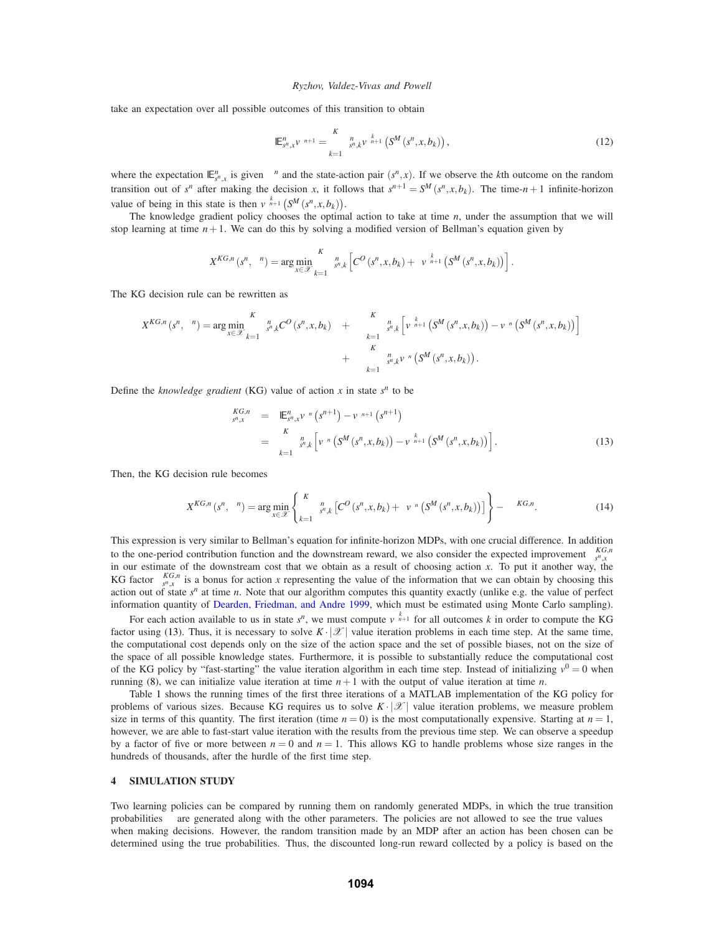take an expectation over all possible outcomes of this transition to obtain

$$
I\!E_{s^n,x}^n v^{\pi_{n+1}} = \sum_{k=1}^K \rho_{s^n,k}^n v^{\pi_{n+1}^k} \left( S^M \left( s^n, x, b_k \right) \right), \tag{12}
$$

where the expectation  $\mathbb{E}_{s^n,x}^n$  is given  $\alpha^n$  and the state-action pair  $(s^n, x)$ . If we observe the *k*th outcome on the random transition out of *s<sup>n</sup>* after making the decision *x*, it follows that  $s^{n+1} = S^M(s^n, x, b_k)$ . The time-*n*+1 infinite-horizon value of being in this state is then  $v^{\pi_{n+1}^k} \left( S^M(s^n, x, b_k) \right)$ .

The knowledge gradient policy chooses the optimal action to take at time *n*, under the assumption that we will stop learning at time  $n+1$ . We can do this by solving a modified version of Bellman's equation given by

$$
X^{KG,n}(s^{n}, \alpha^{n}) = \arg\min_{x \in \mathscr{X}} \sum_{k=1}^{K} \rho_{s^{n},k}^{n} \left[ C^{O}(s^{n}, x, b_{k}) + \gamma v^{\pi_{n+1}^{k}} \left( S^{M}(s^{n}, x, b_{k}) \right) \right].
$$

The KG decision rule can be rewritten as

$$
X^{KG,n}(s^{n}, \alpha^{n}) = \arg \min_{x \in \mathcal{X}} \sum_{k=1}^{K} \rho_{s^{n},k}^{n} C^{O}(s^{n}, x, b_{k}) + \gamma \sum_{k=1}^{K} \rho_{s^{n},k}^{n} \left[ v^{\pi_{n+1}^{k}} \left( S^{M}(s^{n}, x, b_{k}) \right) - v^{\pi_{n}} \left( S^{M}(s^{n}, x, b_{k}) \right) \right] + \gamma \sum_{k=1}^{K} \rho_{s^{n},k}^{n} v^{\pi_{n}} \left( S^{M}(s^{n}, x, b_{k}) \right).
$$

Define the *knowledge gradient* (KG) value of action *x* in state  $s^n$  to be

$$
v_{s^{n},x}^{KG,n} = \mathbb{E}_{s^{n},x}^{n} v^{\pi_{n}}(s^{n+1}) - v^{\pi_{n+1}}(s^{n+1})
$$
  

$$
= \sum_{k=1}^{K} \rho_{s^{n},k}^{n} \left[ v^{\pi_{n}}(S^{M}(s^{n}, x, b_{k})) - v^{\pi_{n+1}^{k}}(S^{M}(s^{n}, x, b_{k})) \right].
$$
 (13)

Then, the KG decision rule becomes

$$
X^{KG,n}(s^n,\alpha^n) = \arg\min_{x \in \mathcal{X}} \left\{ \sum_{k=1}^K \rho_{s^n,k}^n \left[ C^O\left(s^n, x, b_k\right) + \gamma v^{\pi_n} \left( S^M\left(s^n, x, b_k\right) \right) \right] \right\} - \gamma v^{KG,n}.
$$
 (14)

This expression is very similar to Bellman's equation for infinite-horizon MDPs, with one crucial difference. In addition to the one-period contribution function and the downstream reward, we also consider the expected improvement  $v_{s^n,x}^{KG,n}$ in our estimate of the downstream cost that we obtain as a result of choosing action *x*. To put it another way, the KG factor  $v_{s^n,x}^{KG,n}$  is a bonus for action *x* representing the value of the information that we can obtain by choosing this action out of state  $s<sup>n</sup>$  at time *n*. Note that our algorithm computes this quantity exactly (unlike e.g. the value of perfect information quantity of Dearden, Friedman, and Andre 1999, which must be estimated using Monte Carlo sampling).

For each action available to us in state  $s^n$ , we must compute  $v^{\pi_{n+1}^k}$  for all outcomes *k* in order to compute the KG factor using (13). Thus, it is necessary to solve  $K \cdot |\mathcal{X}|$  value iteration problems in each time step. At the same time, the computational cost depends only on the size of the action space and the set of possible biases, not on the size of the space of all possible knowledge states. Furthermore, it is possible to substantially reduce the computational cost of the KG policy by "fast-starting" the value iteration algorithm in each time step. Instead of initializing  $v^0 = 0$  when running (8), we can initialize value iteration at time  $n+1$  with the output of value iteration at time *n*.

Table 1 shows the running times of the first three iterations of a MATLAB implementation of the KG policy for problems of various sizes. Because KG requires us to solve  $K \cdot |\mathcal{X}|$  value iteration problems, we measure problem size in terms of this quantity. The first iteration (time  $n = 0$ ) is the most computationally expensive. Starting at  $n = 1$ , however, we are able to fast-start value iteration with the results from the previous time step. We can observe a speedup by a factor of five or more between  $n = 0$  and  $n = 1$ . This allows KG to handle problems whose size ranges in the hundreds of thousands, after the hurdle of the first time step.

## **4 SIMULATION STUDY**

Two learning policies can be compared by running them on randomly generated MDPs, in which the true transition probabilities  $\rho$  are generated along with the other parameters. The policies are not allowed to see the true values  $\rho$ when making decisions. However, the random transition made by an MDP after an action has been chosen can be determined using the true probabilities. Thus, the discounted long-run reward collected by a policy is based on the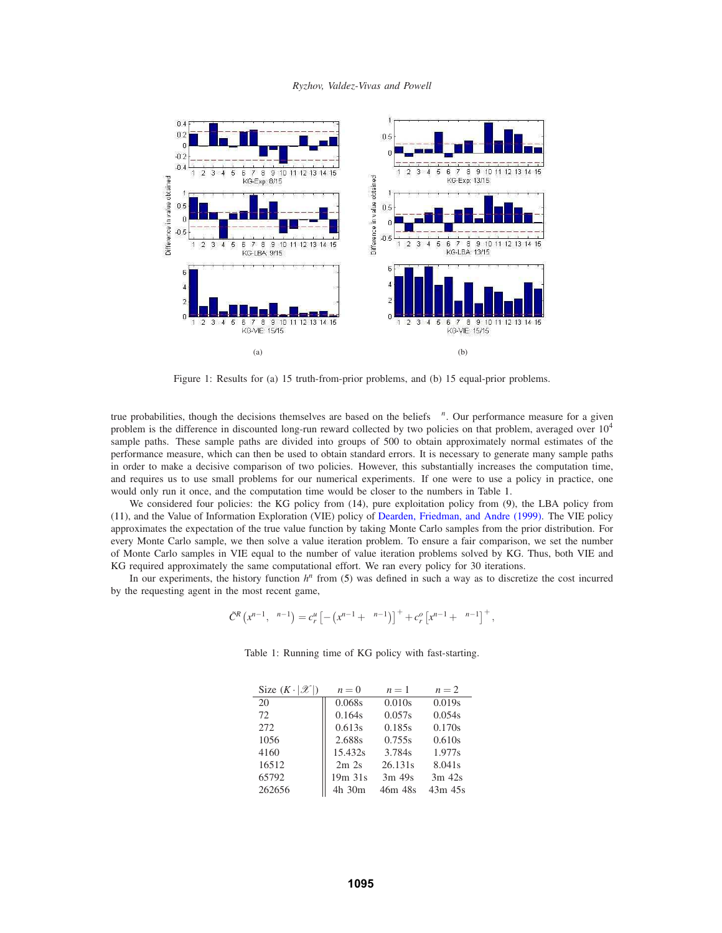

Figure 1: Results for (a) 15 truth-from-prior problems, and (b) 15 equal-prior problems.

true probabilities, though the decisions themselves are based on the beliefs  $\alpha^n$ . Our performance measure for a given problem is the difference in discounted long-run reward collected by two policies on that problem, averaged over  $10<sup>4</sup>$ sample paths. These sample paths are divided into groups of 500 to obtain approximately normal estimates of the performance measure, which can then be used to obtain standard errors. It is necessary to generate many sample paths in order to make a decisive comparison of two policies. However, this substantially increases the computation time, and requires us to use small problems for our numerical experiments. If one were to use a policy in practice, one would only run it once, and the computation time would be closer to the numbers in Table 1.

We considered four policies: the KG policy from (14), pure exploitation policy from (9), the LBA policy from (11), and the Value of Information Exploration (VIE) policy of Dearden, Friedman, and Andre (1999). The VIE policy approximates the expectation of the true value function by taking Monte Carlo samples from the prior distribution. For every Monte Carlo sample, we then solve a value iteration problem. To ensure a fair comparison, we set the number of Monte Carlo samples in VIE equal to the number of value iteration problems solved by KG. Thus, both VIE and KG required approximately the same computational effort. We ran every policy for 30 iterations.

In our experiments, the history function  $h^n$  from (5) was defined in such a way as to discretize the cost incurred by the requesting agent in the most recent game,

$$
\tilde{C}^{R}\left(x^{n-1},\beta^{n-1}\right)=c_{r}^{u}\left[-\left(x^{n-1}+\beta^{n-1}\right)\right]^{+}+c_{r}^{o}\left[x^{n-1}+\beta^{n-1}\right]^{+},
$$

| Size $(K \cdot  \mathcal{X} )$ | $n=0$     | $n=1$    | $n=2$       |
|--------------------------------|-----------|----------|-------------|
| 20                             | 0.068s    | 0.010s   | 0.019s      |
| 72                             | 0.164s    | 0.057s   | 0.054s      |
| 272                            | 0.613s    | 0.185s   | 0.170s      |
| 1056                           | 2.688s    | 0.755s   | 0.610s      |
| 4160                           | 15.432s   | 3.784s   | 1.977s      |
| 16512                          | $2m$ $2s$ | 26.131s  | 8.041s      |
| 65792                          | $19m$ 31s | $3m$ 49s | $3m$ 42s    |
| 262656                         | 4h 30m    | 46m 48s  | $43m$ $45s$ |

Table 1: Running time of KG policy with fast-starting.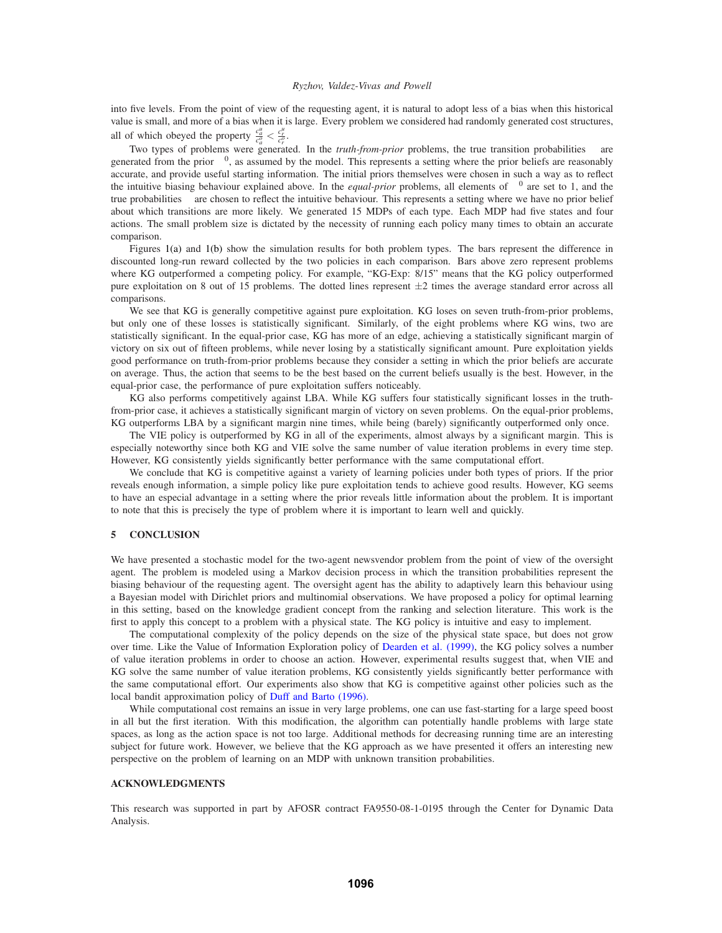into five levels. From the point of view of the requesting agent, it is natural to adopt less of a bias when this historical value is small, and more of a bias when it is large. Every problem we considered had randomly generated cost structures, all of which obeyed the property  $\frac{c_u^u}{c_a^o} < \frac{c_v^u}{c_r^o}$ .

Two types of problems were generated. In the *truth-from-prior* problems, the true transition probabilities  $\rho$  are generated from the prior  $\alpha^0$ , as assumed by the model. This represents a setting where the prior beliefs are reasonably accurate, and provide useful starting information. The initial priors themselves were chosen in such a way as to reflect the intuitive biasing behaviour explained above. In the *equal-prior* problems, all elements of  $\alpha^0$  are set to 1, and the true probabilities  $\rho$  are chosen to reflect the intuitive behaviour. This represents a setting where we have no prior belief about which transitions are more likely. We generated 15 MDPs of each type. Each MDP had five states and four actions. The small problem size is dictated by the necessity of running each policy many times to obtain an accurate comparison.

Figures 1(a) and 1(b) show the simulation results for both problem types. The bars represent the difference in discounted long-run reward collected by the two policies in each comparison. Bars above zero represent problems where KG outperformed a competing policy. For example, "KG-Exp: 8/15" means that the KG policy outperformed pure exploitation on 8 out of 15 problems. The dotted lines represent  $\pm 2$  times the average standard error across all comparisons.

We see that KG is generally competitive against pure exploitation. KG loses on seven truth-from-prior problems, but only one of these losses is statistically significant. Similarly, of the eight problems where KG wins, two are statistically significant. In the equal-prior case, KG has more of an edge, achieving a statistically significant margin of victory on six out of fifteen problems, while never losing by a statistically significant amount. Pure exploitation yields good performance on truth-from-prior problems because they consider a setting in which the prior beliefs are accurate on average. Thus, the action that seems to be the best based on the current beliefs usually is the best. However, in the equal-prior case, the performance of pure exploitation suffers noticeably.

KG also performs competitively against LBA. While KG suffers four statistically significant losses in the truthfrom-prior case, it achieves a statistically significant margin of victory on seven problems. On the equal-prior problems, KG outperforms LBA by a significant margin nine times, while being (barely) significantly outperformed only once.

The VIE policy is outperformed by KG in all of the experiments, almost always by a significant margin. This is especially noteworthy since both KG and VIE solve the same number of value iteration problems in every time step. However, KG consistently yields significantly better performance with the same computational effort.

We conclude that KG is competitive against a variety of learning policies under both types of priors. If the prior reveals enough information, a simple policy like pure exploitation tends to achieve good results. However, KG seems to have an especial advantage in a setting where the prior reveals little information about the problem. It is important to note that this is precisely the type of problem where it is important to learn well and quickly.

### **5 CONCLUSION**

We have presented a stochastic model for the two-agent newsvendor problem from the point of view of the oversight agent. The problem is modeled using a Markov decision process in which the transition probabilities represent the biasing behaviour of the requesting agent. The oversight agent has the ability to adaptively learn this behaviour using a Bayesian model with Dirichlet priors and multinomial observations. We have proposed a policy for optimal learning in this setting, based on the knowledge gradient concept from the ranking and selection literature. This work is the first to apply this concept to a problem with a physical state. The KG policy is intuitive and easy to implement.

The computational complexity of the policy depends on the size of the physical state space, but does not grow over time. Like the Value of Information Exploration policy of Dearden et al. (1999), the KG policy solves a number of value iteration problems in order to choose an action. However, experimental results suggest that, when VIE and KG solve the same number of value iteration problems, KG consistently yields significantly better performance with the same computational effort. Our experiments also show that KG is competitive against other policies such as the local bandit approximation policy of Duff and Barto (1996).

While computational cost remains an issue in very large problems, one can use fast-starting for a large speed boost in all but the first iteration. With this modification, the algorithm can potentially handle problems with large state spaces, as long as the action space is not too large. Additional methods for decreasing running time are an interesting subject for future work. However, we believe that the KG approach as we have presented it offers an interesting new perspective on the problem of learning on an MDP with unknown transition probabilities.

### **ACKNOWLEDGMENTS**

This research was supported in part by AFOSR contract FA9550-08-1-0195 through the Center for Dynamic Data Analysis.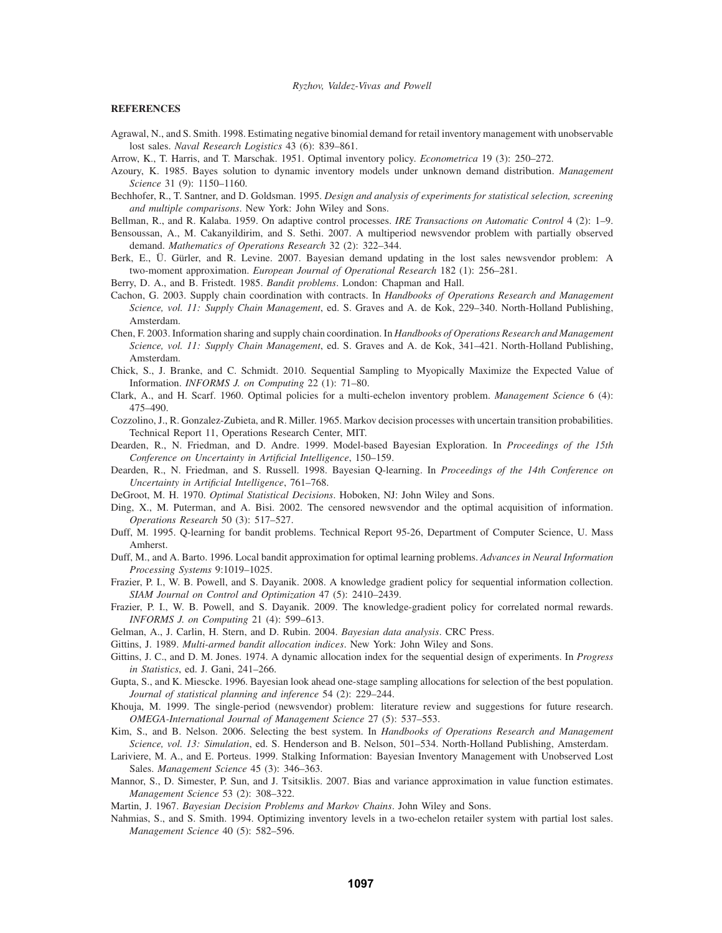### **REFERENCES**

Agrawal, N., and S. Smith. 1998. Estimating negative binomial demand for retail inventory management with unobservable lost sales. *Naval Research Logistics* 43 (6): 839–861.

Arrow, K., T. Harris, and T. Marschak. 1951. Optimal inventory policy. *Econometrica* 19 (3): 250–272.

- Azoury, K. 1985. Bayes solution to dynamic inventory models under unknown demand distribution. *Management Science* 31 (9): 1150–1160.
- Bechhofer, R., T. Santner, and D. Goldsman. 1995. *Design and analysis of experiments for statistical selection, screening and multiple comparisons*. New York: John Wiley and Sons.
- Bellman, R., and R. Kalaba. 1959. On adaptive control processes. *IRE Transactions on Automatic Control* 4 (2): 1–9.
- Bensoussan, A., M. Cakanyildirim, and S. Sethi. 2007. A multiperiod newsvendor problem with partially observed demand. *Mathematics of Operations Research* 32 (2): 322–344.
- Berk, E., Ü. Gürler, and R. Levine. 2007. Bayesian demand updating in the lost sales newsvendor problem: A two-moment approximation. *European Journal of Operational Research* 182 (1): 256–281.
- Berry, D. A., and B. Fristedt. 1985. *Bandit problems*. London: Chapman and Hall.
- Cachon, G. 2003. Supply chain coordination with contracts. In *Handbooks of Operations Research and Management Science, vol. 11: Supply Chain Management*, ed. S. Graves and A. de Kok, 229–340. North-Holland Publishing, Amsterdam.
- Chen, F. 2003. Information sharing and supply chain coordination. In *Handbooks of Operations Research and Management Science, vol. 11: Supply Chain Management*, ed. S. Graves and A. de Kok, 341–421. North-Holland Publishing, Amsterdam.
- Chick, S., J. Branke, and C. Schmidt. 2010. Sequential Sampling to Myopically Maximize the Expected Value of Information. *INFORMS J. on Computing* 22 (1): 71–80.
- Clark, A., and H. Scarf. 1960. Optimal policies for a multi-echelon inventory problem. *Management Science* 6 (4): 475–490.
- Cozzolino, J., R. Gonzalez-Zubieta, and R. Miller. 1965. Markov decision processes with uncertain transition probabilities. Technical Report 11, Operations Research Center, MIT.
- Dearden, R., N. Friedman, and D. Andre. 1999. Model-based Bayesian Exploration. In *Proceedings of the 15th Conference on Uncertainty in Artificial Intelligence*, 150–159.
- Dearden, R., N. Friedman, and S. Russell. 1998. Bayesian Q-learning. In *Proceedings of the 14th Conference on Uncertainty in Artificial Intelligence*, 761–768.
- DeGroot, M. H. 1970. *Optimal Statistical Decisions*. Hoboken, NJ: John Wiley and Sons.
- Ding, X., M. Puterman, and A. Bisi. 2002. The censored newsvendor and the optimal acquisition of information. *Operations Research* 50 (3): 517–527.
- Duff, M. 1995. Q-learning for bandit problems. Technical Report 95-26, Department of Computer Science, U. Mass Amherst.
- Duff, M., and A. Barto. 1996. Local bandit approximation for optimal learning problems. *Advances in Neural Information Processing Systems* 9:1019–1025.
- Frazier, P. I., W. B. Powell, and S. Dayanik. 2008. A knowledge gradient policy for sequential information collection. *SIAM Journal on Control and Optimization* 47 (5): 2410–2439.
- Frazier, P. I., W. B. Powell, and S. Dayanik. 2009. The knowledge-gradient policy for correlated normal rewards. *INFORMS J. on Computing* 21 (4): 599–613.
- Gelman, A., J. Carlin, H. Stern, and D. Rubin. 2004. *Bayesian data analysis*. CRC Press.
- Gittins, J. 1989. *Multi-armed bandit allocation indices*. New York: John Wiley and Sons.
- Gittins, J. C., and D. M. Jones. 1974. A dynamic allocation index for the sequential design of experiments. In *Progress in Statistics*, ed. J. Gani, 241–266.
- Gupta, S., and K. Miescke. 1996. Bayesian look ahead one-stage sampling allocations for selection of the best population. *Journal of statistical planning and inference* 54 (2): 229–244.
- Khouja, M. 1999. The single-period (newsvendor) problem: literature review and suggestions for future research. *OMEGA-International Journal of Management Science* 27 (5): 537–553.
- Kim, S., and B. Nelson. 2006. Selecting the best system. In *Handbooks of Operations Research and Management Science, vol. 13: Simulation*, ed. S. Henderson and B. Nelson, 501–534. North-Holland Publishing, Amsterdam.
- Lariviere, M. A., and E. Porteus. 1999. Stalking Information: Bayesian Inventory Management with Unobserved Lost Sales. *Management Science* 45 (3): 346–363.
- Mannor, S., D. Simester, P. Sun, and J. Tsitsiklis. 2007. Bias and variance approximation in value function estimates. *Management Science* 53 (2): 308–322.
- Martin, J. 1967. *Bayesian Decision Problems and Markov Chains*. John Wiley and Sons.
- Nahmias, S., and S. Smith. 1994. Optimizing inventory levels in a two-echelon retailer system with partial lost sales. *Management Science* 40 (5): 582–596.